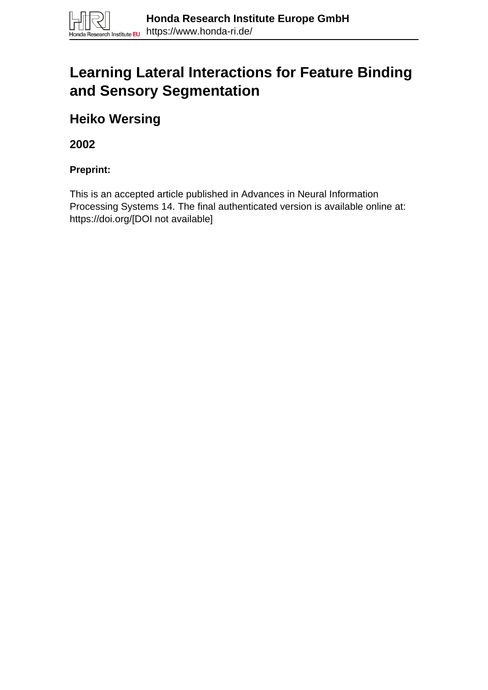

# **Learning Lateral Interactions for Feature Binding and Sensory Segmentation**

**Heiko Wersing**

**2002**

**Preprint:**

This is an accepted article published in Advances in Neural Information Processing Systems 14. The final authenticated version is available online at: https://doi.org/[DOI not available]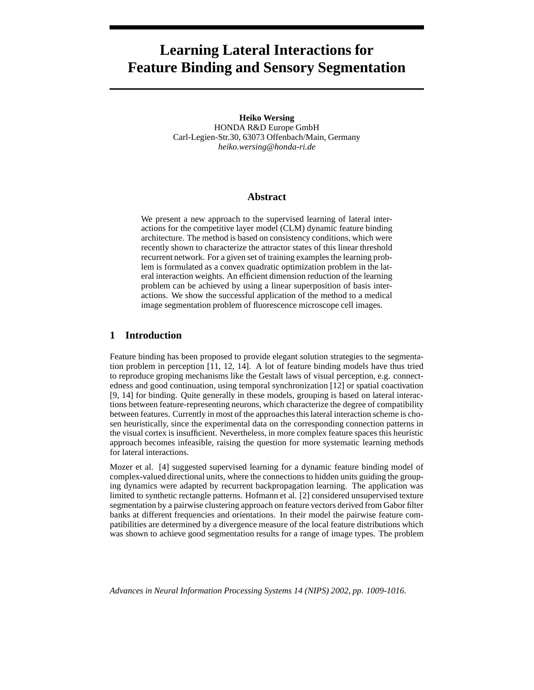# **Learning Lateral Interactions for Feature Binding and Sensory Segmentation**

**Heiko Wersing**

HONDA R&D Europe GmbH Carl-Legien-Str.30, 63073 Offenbach/Main, Germany *heiko.wersing@honda-ri.de*

#### **Abstract**

We present a new approach to the supervised learning of lateral interactions for the competitive layer model (CLM) dynamic feature binding architecture. The method is based on consistency conditions, which were recently shown to characterize the attractor states of this linear threshold recurrent network. For a given set of training examples the learning problem is formulated as a convex quadratic optimization problem in the lateral interaction weights. An efficient dimension reduction of the learning problem can be achieved by using a linear superposition of basis interactions. We show the successful application of the method to a medical image segmentation problem of fluorescence microscope cell images.

## **1 Introduction**

Feature binding has been proposed to provide elegant solution strategies to the segmentation problem in perception [11, 12, 14]. A lot of feature binding models have thus tried to reproduce groping mechanisms like the Gestalt laws of visual perception, e.g. connectedness and good continuation, using temporal synchronization [12] or spatial coactivation [9, 14] for binding. Quite generally in these models, grouping is based on lateral interactions between feature-representing neurons, which characterize the degree of compatibility between features. Currently in most of the approachesthis lateral interaction scheme is chosen heuristically, since the experimental data on the corresponding connection patterns in the visual cortex is insufficient. Nevertheless, in more complex feature spaces this heuristic approach becomes infeasible, raising the question for more systematic learning methods for lateral interactions.

Mozer et al. [4] suggested supervised learning for a dynamic feature binding model of complex-valued directional units, where the connections to hidden units guiding the grouping dynamics were adapted by recurrent backpropagation learning. The application was limited to synthetic rectangle patterns. Hofmann et al. [2] considered unsupervised texture segmentation by a pairwise clustering approach on feature vectors derived from Gabor filter banks at different frequencies and orientations. In their model the pairwise feature compatibilities are determined by a divergence measure of the local feature distributions which was shown to achieve good segmentation results for a range of image types. The problem

*Advances in Neural Information Processing Systems 14 (NIPS) 2002, pp. 1009-1016.*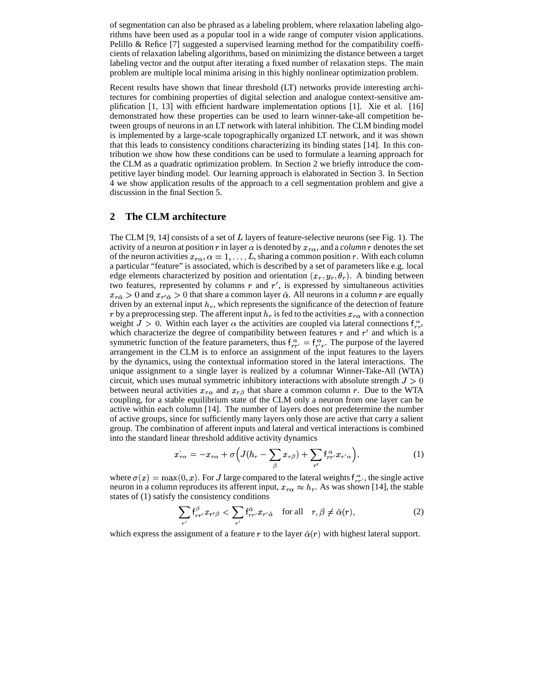of segmentation can also be phrased as a labeling problem, where relaxation labeling algorithms have been used as a popular tool in a wide range of computer vision applications. Pelillo & Refice [7] suggested a supervised learning method for the compatibility coefficients of relaxation labeling algorithms, based on minimizing the distance between a target labeling vector and the output after iterating a fixed number of relaxation steps. The main problem are multiple local minima arising in this highly nonlinear optimization problem.

Recent results have shown that linear threshold (LT) networks provide interesting architectures for combining properties of digital selection and analogue context-sensitive amplification [1, 13] with efficient hardware implementation options [1]. Xie et al. [16] demonstrated how these properties can be used to learn winner-take-all competition between groups of neurons in an LT network with lateral inhibition. The CLM binding model is implemented by a large-scale topographically organized LT network, and it was shown that this leads to consistency conditions characterizing its binding states [14]. In this contribution we show how these conditions can be used to formulate a learning approach for the CLM as a quadratic optimization problem. In Section 2 we briefly introduce the competitive layer binding model. Our learning approach is elaborated in Section 3. In Section 4 we show application results of the approach to a cell segmentation problem and give a discussion in the final Section 5.

#### **2 The CLM architecture**

The CLM [9, 14] consists of a set of  $L$  layers of feature-selective neurons (see Fig. 1). The activity of a neuron at position r in layer  $\alpha$  is denoted by  $x_{r\alpha}$ , and a *column* r denotes the set of the neuron activities  $x_{r\alpha}$ ,  $\alpha = 1, \ldots, L$ , sharing a common position r. With each column a particular "feature" is associated, which is described by a set of parameters like e.g. local edge elements characterized by position and orientation  $(x_r, y_r, \theta_r)$ . A binding between two features, represented by columns  $r$  and  $r'$ , is expressed by simultaneous activities  $x_{r\hat{\alpha}} > 0$  and  $x_{r'\hat{\alpha}} > 0$  that share a common layer  $\hat{\alpha}$ . All neurons in a column r are equally driven by an external input  $h_r$ , which represents the significance of the detection of feature r by a preprocessing step. The afferent input  $h_r$  is fed to the activities  $x_{r\alpha}$  with a connection weight  $J > 0$ . Within each layer  $\alpha$  the activities are coupled via lateral connections  $f_{rr}^{\alpha}$  " which characterize the degree of compatibility between features  $r$  and  $r'$  and which is a symmetric function of the feature parameters, thus  $f_{rr'}^{\alpha} = f_{r'r}^{\alpha}$ . The purpose of the layered arrangement in the CLM is to enforce an assignment of the input features to the layers by the dynamics, using the contextual information stored in the lateral interactions. The unique assignment to a single layer is realized by a columnar Winner-Take-All (WTA) circuit, which uses mutual symmetric inhibitory interactions with absolute strength  $J>0$ between neural activities  $x_{r\alpha}$  and  $x_{r\beta}$  that share a common column r. Due to the WTA coupling, for a stable equilibrium state of the CLM only a neuron from one layer can be active within each column [14]. The number of layers does not predetermine the number of active groups, since for sufficiently many layers only those are active that carry a salient group. The combination of afferent inputs and lateral and vertical interactions is combined into the standard linear threshold additive activity dynamics

$$
\dot{x_{r\alpha}} = -x_{r\alpha} + \sigma \Big( J(h_r - \sum_{\beta} x_{r\beta}) + \sum_{r'} f_{rr'}^{\alpha} x_{r'\alpha} \Big),\tag{1}
$$

where  $\sigma(x) = \max(0, x)$ . For J large compared to the lateral weights  $f_{rr'}^{\alpha}$ , the single active neuron in a column reproduces its afferent input,  $x_{r\alpha} \approx h_r$ . As was shown [14], the stable states of (1) satisfy the consistency conditions

$$
\sum_{r'} f_{rr'}^{\beta} x_{r'\beta} < \sum_{r'} f_{rr'}^{\hat{\alpha}} x_{r'\hat{\alpha}} \quad \text{for all} \quad r, \beta \neq \hat{\alpha}(r), \tag{2}
$$

which express the assignment of a feature r to the layer  $\hat{\alpha}(r)$  with highest lateral support.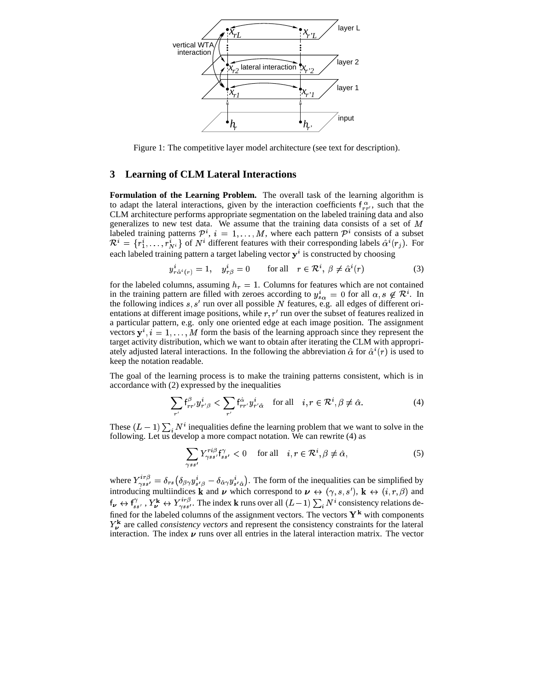

Figure 1: The competitive layer model architecture (see text for description).

#### **3 Learning of CLM Lateral Interactions**

**Formulation of the Learning Problem.** The overall task of the learning algorithm is to adapt the lateral interactions, given by the interaction coefficients  $f_{rr'}^{\alpha}$ , such that the CLM architecture performs appropriate segmentation on the labeled training data and also generalizes to new test data. We assume that the training data consists of a set of <sup>W</sup> labeled training patterns  $\mathcal{P}^i$ ,  $i = 1, ..., M$ , where each pattern  $\mathcal{P}^i$  consists of a subset  $\mathcal{R}^i = \{r_1^i, ..., r_{Ni}^i\}$  of  $N^i$  different features with their corresponding labels  $\hat{\alpha}^i(r_i)$ . For each labeled training pattern a target labeling vector  $y^i$  is constructed by choosing

$$
y_{r\hat{\alpha}^i(r)}^i = 1, \quad y_{r\beta}^i = 0 \qquad \text{for all} \quad r \in \mathcal{R}^i, \ \beta \neq \hat{\alpha}^i(r) \tag{3}
$$

for the labeled columns, assuming  $h_r = 1$ . Columns for features which are not contained in the training pattern are filled with zeroes according to  $y_{so}^i = 0$  for all  $\alpha, s \notin \mathcal{R}^i$ . In the following indices  $s, s'$  run over all possible N features, e.g. all edges of different orientations at different image positions, while  $r, r'$  run over the subset of features realized in a particular pattern, e.g. only one oriented edge at each image position. The assignment vectors  $y^i$ ,  $i = 1, \ldots, M$  form the basis of the learning approach since they represent the target activity distribution, which we want to obtain after iterating the CLM with appropriately adjusted lateral interactions. In the following the abbreviation  $\hat{\alpha}$  for  $\hat{\alpha}^{i}(r)$  is used to keep the notation readable.

The goal of the learning process is to make the training patterns consistent, which is in accordance with (2) expressed by the inequalities

$$
\sum_{r'} f_{rr'}^{\beta} y_{r'\beta}^i < \sum_{r'} f_{rr'}^{\hat{\alpha}} y_{r'\hat{\alpha}}^i \quad \text{for all} \quad i, r \in \mathcal{R}^i, \beta \neq \hat{\alpha}.\tag{4}
$$

These  $(L-1) \sum_i N^i$  inequalities define the learning problem that we want to solve in the following. Let us develop a more compact notation. We can rewrite (4) as

$$
\sum_{\gamma s s'} Y^{\tau i \beta}_{\gamma s s'} f^{\gamma}_{s s'} < 0 \quad \text{for all} \quad i, r \in \mathcal{R}^i, \beta \neq \hat{\alpha}, \tag{5}
$$

where  $Y_{\alpha s'}^{(n,p)} = \delta_{rs} (\delta_{\beta \gamma} y_{s'\beta}^i - \delta_{\hat{\alpha} \gamma} y_{s'\hat{\beta}}^i)$ . The form of the inequalities can be simplified by introducing multiindices **k** and **v** which correspond to  $\mathbf{v} \leftrightarrow (\gamma, s, s')$ , **k**  $\leftrightarrow (i, r, \beta)$  and  ${\sf f}_{\bm{\nu}} \leftrightarrow {\sf f}_{ss'}^{\gamma}$  ,  $Y^{\bf k}_{\bm{\nu}} \leftrightarrow$ ,  $Y_{\mathbf{k}}^{\mathbf{k}} \leftrightarrow Y_{\gamma s}^{irp}$ . The index **k** runs over all  $(L-1) \sum_i N^i$  consistency relations defined for the labeled columns of the assignment vectors. The vectors  $Y^k$  with components  $Y_{\nu}^{k}$  are called *consistency vectors* and represent the consistency constraints for the lateral interaction. The vector interaction. The index  $\nu$  runs over all entries in the lateral interaction matrix. The vector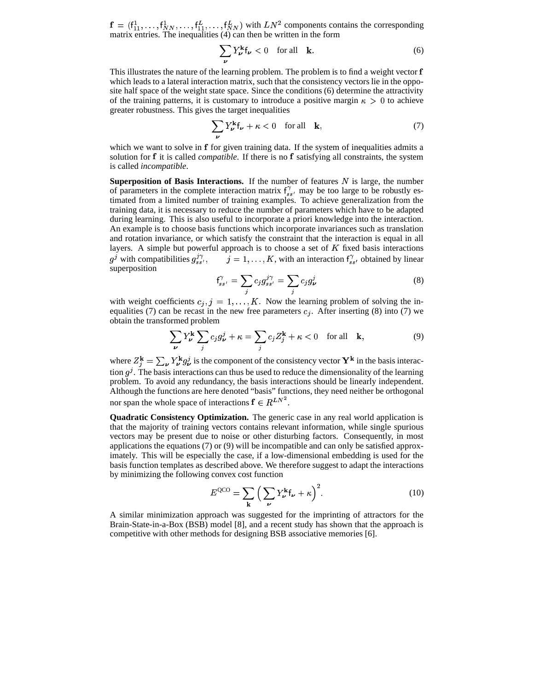${\bf f} = (f_{11}^1, \ldots, f_{NN}^1, \ldots, f_{NN}^L)$  with  $LN^2$  components contains the corresponding matrix entries. The inequalities (4) can then be written in the form

$$
\sum_{\nu} Y_{\nu}^{\mathbf{k}} \mathsf{f}_{\nu} < 0 \quad \text{for all} \quad \mathbf{k}.\tag{6}
$$

This illustrates the nature of the learning problem. The problem is to find a weight vector **f** which leads to a lateral interaction matrix, such that the consistency vectors lie in the opposite half space of the weight state space. Since the conditions (6) determine the attractivity of the training patterns, it is customary to introduce a positive margin  $\kappa > 0$  to achieve greater robustness. This gives the target inequalities

$$
\sum_{\nu} Y_{\nu}^{\mathbf{k}} \mathbf{f}_{\nu} + \kappa < 0 \quad \text{for all} \quad \mathbf{k}, \tag{7}
$$

which we want to solve in f for given training data. If the system of inequalities admits a solution for f it is called *compatible*. If there is no f satisfying all constraints, the system is called *incompatible*.

**Superposition of Basis Interactions.** If the number of features  $N$  is large, the number of parameters in the complete interaction matrix  $f_{ss}^{\gamma}$  may be too large to be robustly estimated from a limited number of training examples. To achieve generalization from the training data, it is necessary to reduce the number of parameters which have to be adapted during learning. This is also useful to incorporate a priori knowledge into the interaction. An example is to choose basis functions which incorporate invariances such as translation and rotation invariance, or which satisfy the constraint that the interaction is equal in all layers. A simple but powerful approach is to choose a set of  $K$  fixed basis interactions  $g^j$  with compatibilities  $g_{ss'}^{j\gamma}$ ,  $j=1,\ldots,K$ , with an interaction  $f_{ss'}^{\gamma}$  obtained by linear superposition

$$
f_{ss'}^{\gamma} = \sum_j c_j g_{ss'}^{j\gamma} = \sum_j c_j g_{\nu}^j \tag{8}
$$

with weight coefficients  $c_j$ ,  $j = 1, \ldots, K$ . Now the learning problem of solving the inequalities (7) can be recast in the new free parameters  $c_j$ . After inserting (8) into (7) we obtain the transformed problem

$$
\sum_{\nu} Y_{\nu}^{k} \sum_{j} c_{j} g_{\nu}^{j} + \kappa = \sum_{j} c_{j} Z_{j}^{k} + \kappa < 0 \quad \text{for all} \quad k,
$$
\n(9)

where  $Z_j^k = \sum_{\nu} Y_k^k g_{\nu}^j$  is the component of the consistency vector  $Y^k$  in the basis interac-<br>tion of The basis interactions can thus be used to reduce the dimensionality of the learning tion  $g^j$ . The basis interactions can thus be used to reduce the dimensionality of the learning problem. To avoid any redundancy, the basis interactions should be linearly independent. Although the functions are here denoted "basis" functions, they need neither be orthogonal nor span the whole space of interactions  $f \in R^{LN^2}$ .

**Quadratic Consistency Optimization.** The generic case in any real world application is that the majority of training vectors contains relevant information, while single spurious vectors may be present due to noise or other disturbing factors. Consequently, in most applications the equations (7) or (9) will be incompatible and can only be satisfied approximately. This will be especially the case, if a low-dimensional embedding is used for the basis function templates as described above. We therefore suggest to adapt the interactions by minimizing the following convex cost function

$$
E^{\rm QCO} = \sum_{\mathbf{k}} \left( \sum_{\nu} Y_{\nu}^{\mathbf{k}} \mathsf{f}_{\nu} + \kappa \right)^2.
$$
 (10)

 A similar minimization approach was suggested for the imprinting of attractors for the Brain-State-in-a-Box (BSB) model [8], and a recent study has shown that the approach is competitive with other methods for designing BSB associative memories [6].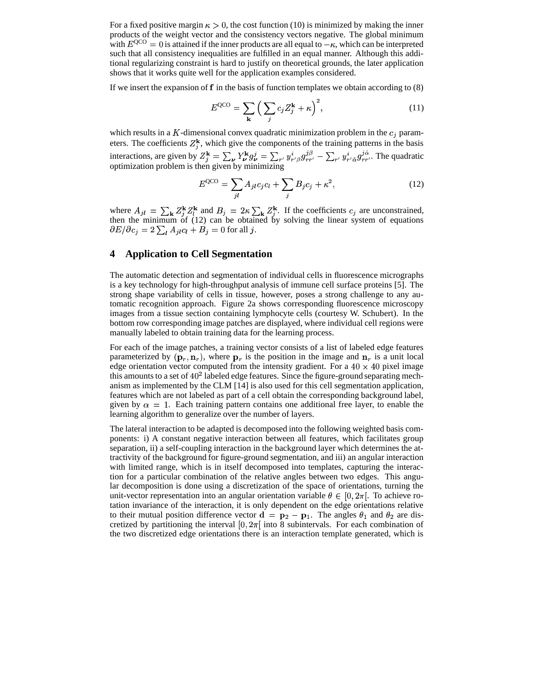For a fixed positive margin  $\kappa > 0$ , the cost function (10) is minimized by making the inner products of the weight vector and the consistency vectors negative. The global minimum with  $E^{QCO} = 0$  is attained if the inner products are all equal to  $-\kappa$ , which can be interpreted such that all consistency inequalities are fulfilled in an equal manner. Although this additional regularizing constraint is hard to justify on theoretical grounds, the later application shows that it works quite well for the application examples considered.

If we insert the expansion of  $f$  in the basis of function templates we obtain according to  $(8)$ 

$$
E^{\rm QCO} = \sum_{\mathbf{k}} \left( \sum_{j} c_j Z_j^{\mathbf{k}} + \kappa \right)^2, \tag{11}
$$

which results in a K-dimensional convex quadratic minimization problem in the  $c_j$  parameters. The coefficients  $Z_i^k$ , which give the components of the training patterns in the basis interactions, are given by  $Z_i^{\mathbf{k}} = \sum_{\mathbf{\nu}} Y_{\mathbf{\nu}}^{\mathbf{k}} g_{\mathbf{\nu}}^j$ . . . . . . . . . . . .  $\hat{f} = \sum_{\nu} Y^k_{\nu} g_{\nu}^j = \sum_{r'} y^i_{r'} g_{rr'}^{j\beta} - \sum_{r'} y^i_{r'\hat{\alpha}} g_{rr'}^{j\alpha}$ . The quadratic n given by minimizing optimization problem is then given by minimizing

$$
E^{QCO} = \sum_{jl} A_{jl} c_j c_l + \sum_j B_j c_j + \kappa^2,
$$
 (12)

where §  $\sum_{k=1}^{n}$   $\sum_{l=1}^{n}$  and  $\sum_{l=1}^{n}$  $i = 1$   $\cdots$   $\cdots$   $\cdots$   $\cdots$  $\sim$   $\sim$   $\sim$   $\sim$   $\sim$   $\sim$  $i^{\mathbf{k}}$  and ui ovoorumisto o be obtained by solving the line  $\frac{k}{i}$ . If the coefficients  $i_j$  are unconstrained, then the minimum of (12) can be obtained by solving the linear system of equations  $\partial E/\partial c_j = 2 \sum_i A_{ji} c_i + B_j = 0$  for all j.

# **4 Application to Cell Segmentation**

The automatic detection and segmentation of individual cells in fluorescence micrographs is a key technology for high-throughput analysis of immune cell surface proteins [5]. The strong shape variability of cells in tissue, however, poses a strong challenge to any automatic recognition approach. Figure 2a shows corresponding fluorescence microscopy images from a tissue section containing lymphocyte cells (courtesy W. Schubert). In the bottom row corresponding image patches are displayed, where individual cell regions were manually labeled to obtain training data for the learning process.

For each of the image patches, a training vector consists of a list of labeled edge features parameterized by  $(\mathbf{p}_r, \mathbf{n}_r)$ , where  $\mathbf{p}_r$  is the position in the image and  $\mathbf{n}_r$  is a unit local edge orientation vector computed from the intensity gradient. For a  $40 \times 40$  pixel image this amounts to a set of  $40^2$  labeled edge features. Since the figure-ground separating mechanism as implemented by the CLM [14] is also used for this cell segmentation application, features which are not labeled as part of a cell obtain the corresponding background label, given by  $\alpha = 1$ . Each training pattern contains one additional free layer, to enable the learning algorithm to generalize over the number of layers.

The lateral interaction to be adapted is decomposed into the following weighted basis components: i) A constant negative interaction between all features, which facilitates group separation, ii) a self-coupling interaction in the background layer which determines the attractivity of the background for figure-ground segmentation, and iii) an angular interaction with limited range, which is in itself decomposed into templates, capturing the interaction for a particular combination of the relative angles between two edges. This angular decomposition is done using a discretization of the space of orientations, turning the unit-vector representation into an angular orientation variable  $\theta \in [0, 2\pi]$ . To achieve rotation invariance of the interaction, it is only dependent on the edge orientations relative to their mutual position difference vector  $\mathbf{d} = \mathbf{p}_2 - \mathbf{p}_1$ . The angles  $\theta_1$  and  $\theta_2$  are discretized by partitioning the interval  $[0, 2\pi]$  into 8 subintervals. For each combination of the two discretized edge orientations there is an interaction template generated, which is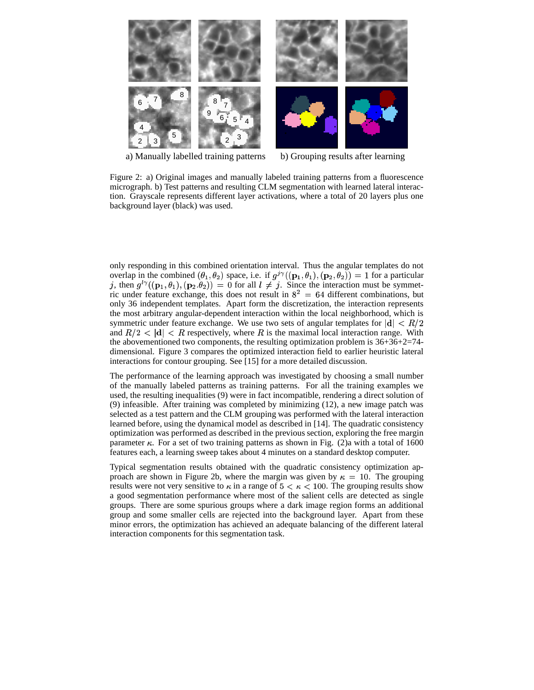

a) Manually labelled training patterns b) Grouping results after learning

Figure 2: a) Original images and manually labeled training patterns from a fluorescence micrograph. b) Test patterns and resulting CLM segmentation with learned lateral interaction. Grayscale represents different layer activations, where a total of 20 layers plus one background layer (black) was used.

only responding in this combined orientation interval. Thus the angular templates do not overlap in the combined  $(\theta_1, \theta_2)$  space, i.e. if  $g^{j\gamma}((\mathbf{p}_1, \theta_1), (\mathbf{p}_2, \theta_2)) = 1$  for a particular j, then  $g^{l\gamma}((\mathbf{p}_1,\theta_1),(\mathbf{p}_2,\theta_2)) = 0$  for all  $l \neq j$ . Since the interaction must be symmetric under feature exchange, this does not result in  $8^2 = 64$  different combinations, but only 36 independent templates. Apart form the discretization, the interaction represents the most arbitrary angular-dependent interaction within the local neighborhood, which is symmetric under feature exchange. We use two sets of angular templates for  $|d| < R/2$ and  $R/2 < |d| < R$  respectively, where R is the maximal local interaction range. With the abovementioned two components, the resulting optimization problem is 36+36+2=74 dimensional. Figure 3 compares the optimized interaction field to earlier heuristic lateral interactions for contour grouping. See [15] for a more detailed discussion.

The performance of the learning approach was investigated by choosing a small number of the manually labeled patterns as training patterns. For all the training examples we used, the resulting inequalities (9) were in fact incompatible, rendering a direct solution of (9) infeasible. After training was completed by minimizing (12), a new image patch was selected as a test pattern and the CLM grouping was performed with the lateral interaction learned before, using the dynamical model as described in [14]. The quadratic consistency optimization was performed as described in the previous section, exploring the free margin parameter  $\kappa$ . For a set of two training patterns as shown in Fig. (2)a with a total of 1600 features each, a learning sweep takes about 4 minutes on a standard desktop computer.

Typical segmentation results obtained with the quadratic consistency optimization approach are shown in Figure 2b, where the margin was given by  $\kappa = 10$ . The grouping results were not very sensitive to  $\kappa$  in a range of  $5 < \kappa < 100$ . The grouping results show a good segmentation performance where most of the salient cells are detected as single groups. There are some spurious groups where a dark image region forms an additional group and some smaller cells are rejected into the background layer. Apart from these minor errors, the optimization has achieved an adequate balancing of the different lateral interaction components for this segmentation task.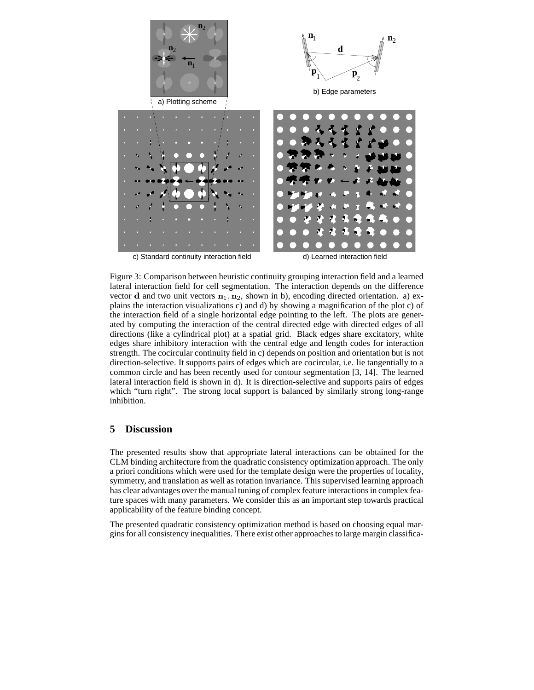

Figure 3: Comparison between heuristic continuity grouping interaction field and a learned lateral interaction field for cell segmentation. The interaction depends on the difference vector **d** and two unit vectors  $n_1, n_2$ , shown in b), encoding directed orientation. a) explains the interaction visualizations c) and d) by showing a magnification of the plot c) of the interaction field of a single horizontal edge pointing to the left. The plots are generated by computing the interaction of the central directed edge with directed edges of all directions (like a cylindrical plot) at a spatial grid. Black edges share excitatory, white edges share inhibitory interaction with the central edge and length codes for interaction strength. The cocircular continuity field in c) depends on position and orientation but is not direction-selective. It supports pairs of edges which are cocircular, i.e. lie tangentially to a common circle and has been recently used for contour segmentation [3, 14]. The learned lateral interaction field is shown in d). It is direction-selective and supports pairs of edges which "turn right". The strong local support is balanced by similarly strong long-range inhibition.

# **5 Discussion**

The presented results show that appropriate lateral interactions can be obtained for the CLM binding architecture from the quadratic consistency optimization approach. The only a priori conditions which were used for the template design were the properties of locality, symmetry, and translation as well as rotation invariance. This supervised learning approach has clear advantages over the manual tuning of complex feature interactionsin complex feature spaces with many parameters. We consider this as an important step towards practical applicability of the feature binding concept.

The presented quadratic consistency optimization method is based on choosing equal margins for all consistency inequalities. There exist other approachesto large margin classifica-